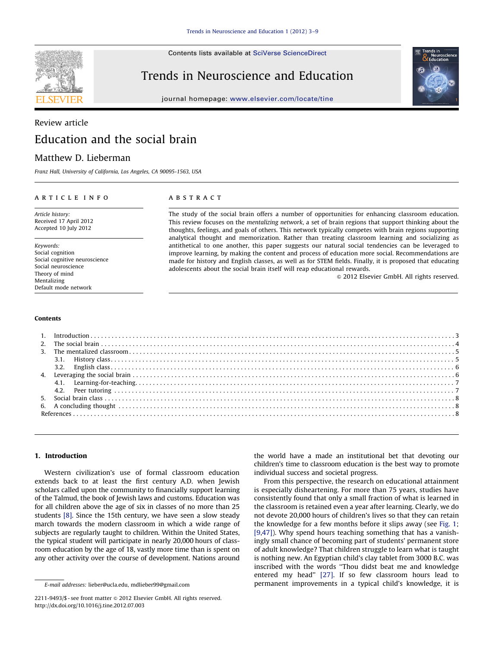

Contents lists available at [SciVerse ScienceDirect](file://localhost/Users/scnn/Desktop/www.elsevier.com/locate/tine)

Trends in Neuroscience and Education



journal homepage: [www.elsevier.com/locate/tine](file://localhost/Users/scnn/Desktop/www.elsevier.com/locate/tine)

# Review article Education and the social brain

## Matthew D. Lieberman

Franz Hall, University of California, Los Angeles, CA 90095-1563, USA

## a r t i c l e i n f o

Article history: Received 17 April 2012 Accepted 10 July 2012

Keywords: Social cognition Social cognitive neuroscience Social neuroscience Theory of mind Mentalizing Default mode network

## **ABSTRACT**

The study of the social brain offers a number of opportunities for enhancing classroom education. This review focuses on the mentalizing network, a set of brain regions that support thinking about the thoughts, feelings, and goals of others. This network typically competes with brain regions supporting analytical thought and memorization. Rather than treating classroom learning and socializing as antithetical to one another, this paper suggests our natural social tendencies can be leveraged to improve learning, by making the content and process of education more social. Recommendations are made for history and English classes, as well as for STEM fields. Finally, it is proposed that educating adolescents about the social brain itself will reap educational rewards.

 $© 2012 Elsevier GmbH. All rights reserved.$ 

#### Contents

### 1. Introduction

Western civilization's use of formal classroom education extends back to at least the first century A.D. when Jewish scholars called upon the community to financially support learning of the Talmud, the book of Jewish laws and customs. Education was for all children above the age of six in classes of no more than 25 students [\[8\]](#page-5-0). Since the 15th century, we have seen a slow steady march towards the modern classroom in which a wide range of subjects are regularly taught to children. Within the United States, the typical student will participate in nearly 20,000 hours of classroom education by the age of 18, vastly more time than is spent on any other activity over the course of development. Nations around

the world have a made an institutional bet that devoting our children's time to classroom education is the best way to promote individual success and societal progress.

From this perspective, the research on educational attainment is especially disheartening. For more than 75 years, studies have consistently found that only a small fraction of what is learned in the classroom is retained even a year after learning. Clearly, we do not devote 20,000 hours of children's lives so that they can retain the knowledge for a few months before it slips away (see [Fig. 1;](#page-1-0) [\[9](#page-5-0)[,47\]\)](#page-6-0). Why spend hours teaching something that has a vanishingly small chance of becoming part of students' permanent store of adult knowledge? That children struggle to learn what is taught is nothing new. An Egyptian child's clay tablet from 3000 B.C. was inscribed with the words ''Thou didst beat me and knowledge entered my head'' [\[27\]](#page-6-0). If so few classroom hours lead to permanent improvements in a typical child's knowledge, it is

E-mail addresses: [lieber@ucla.edu,](mailto:lieber@ucla.edu) [mdlieber99@gmail.com](mailto:mdlieber99@gmail.com)

<sup>2211-9493/\$ -</sup> see front matter @ 2012 Elsevier GmbH. All rights reserved. [http://dx.doi.org/10.1016/j.tine.2012.07.003](file://localhost/Users/scnn/Desktop/dx.doi.org/10.1016/j.tine.2012.07.003)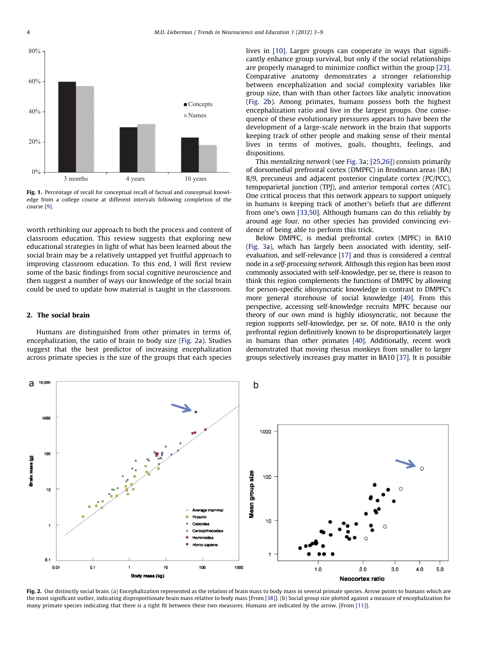

Fig. 1. Percentage of recall for conceptual recall of factual and conceptual knowledge from a college course at different intervals following completion of the course [\[9\].](#page-5-0)

worth rethinking our approach to both the process and content of classroom education. This review suggests that exploring new educational strategies in light of what has been learned about the social brain may be a relatively untapped yet fruitful approach to improving classroom education. To this end, I will first review some of the basic findings from social cognitive neuroscience and then suggest a number of ways our knowledge of the social brain could be used to update how material is taught in the classroom.

#### 2. The social brain

Humans are distinguished from other primates in terms of, encephalization, the ratio of brain to body size [\(Fig. 2](#page-1-0)a). Studies suggest that the best predictor of increasing encephalization across primate species is the size of the groups that each species lives in [\[10\].](#page-5-0) Larger groups can cooperate in ways that significantly enhance group survival, but only if the social relationships are properly managed to minimize conflict within the group [\[23\].](#page-5-0) Comparative anatomy demonstrates a stronger relationship between encephalization and social complexity variables like group size, than with than other factors like analytic innovation ([Fig. 2b](#page-1-0)). Among primates, humans possess both the highest encephalization ratio and live in the largest groups. One consequence of these evolutionary pressures appears to have been the development of a large-scale network in the brain that supports keeping track of other people and making sense of their mental lives in terms of motives, goals, thoughts, feelings, and dispositions.

This mentalizing network (see [Fig. 3a](#page-2-0); [\[25](#page-5-0)[,26\]\)](#page-6-0) consists primarily of dorsomedial prefrontal cortex (DMPFC) in Brodmann areas (BA) 8/9, precuneus and adjacent posterior cingulate cortex (PC/PCC), tempoparietal junction (TPJ), and anterior temporal cortex (ATC). One critical process that this network appears to support uniquely in humans is keeping track of another's beliefs that are different from one's own [\[33,50](#page-6-0)]. Although humans can do this reliably by around age four, no other species has provided convincing evidence of being able to perform this trick.

Below DMPFC, is medial prefrontal cortex (MPFC) in BA10 ([Fig. 3a](#page-2-0)), which has largely been associated with identity, selfevaluation, and self-relevance [\[17\]](#page-5-0) and thus is considered a central node in a self-processing network. Although this region has been most commonly associated with self-knowledge, per se, there is reason to think this region complements the functions of DMPFC by allowing for person-specific idiosyncratic knowledge in contrast to DMPFC's more general storehouse of social knowledge [\[49\]](#page-6-0). From this perspective, accessing self-knowledge recruits MPFC because our theory of our own mind is highly idiosyncratic, not because the region supports self-knowledge, per se. Of note, BA10 is the only prefrontal region definitively known to be disproportionately larger in humans than other primates [\[40\]](#page-6-0). Additionally, recent work demonstrated that moving rhesus monkeys from smaller to larger groups selectively increases gray matter in BA10 [\[37\]](#page-6-0). It is possible



<span id="page-1-0"></span>Fig. 2. Our distinctly social brain, (a) Encephalization represented as the relation of brain mass to body mass in several primate species. Arrow points to humans which are the most significant outlier, indicating disproportionate brain mass relative to body mass [From [\[38\]\]](#page-6-0). (b) Social group size plotted against a measure of encephalization for many primate species indicating that there is a tight fit between these two measures. Humans are indicated by the arrow. [From [\[11\]\]](#page-5-0).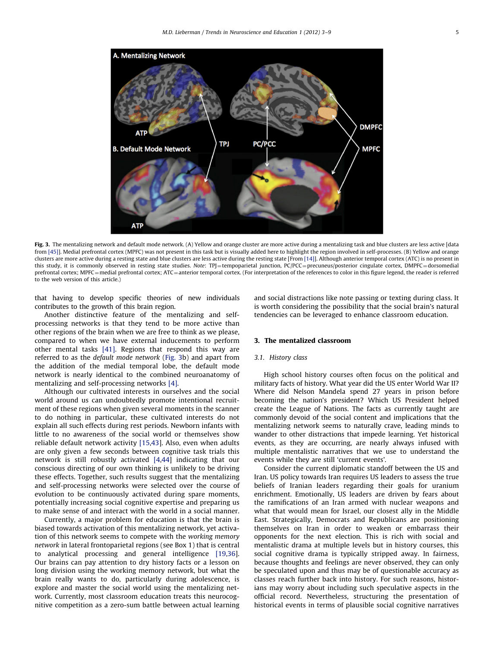

Fig. 3. The mentalizing network and default mode network. (A) Yellow and orange cluster are more active during a mentalizing task and blue clusters are less active [data from [\[45\]\]](#page-6-0). Medial prefrontal cortex (MPFC) was not present in this task but is visually added here to highlight the region involved in self-processes. (B) Yellow and orange clusters are more active during a resting state and blue clusters are less active during the resting state [From [\[14\]](#page-5-0)]. Although anterior temporal cortex (ATC) is no present in this study, it is commonly observed in resting state studies. Note: TPJ=tempoparietal junction, PC/PCC=precuneus/posterior cingulate cortex, DMPFC=dorsomedial prefrontal cortex; MPFC=medial prefrontal cortex; ATC=anterior temporal cortex. (For interpretation of the references to color in this figure legend, the reader is referred to the web version of this article.)

that having to develop specific theories of new individuals contributes to the growth of this brain region.

Another distinctive feature of the mentalizing and selfprocessing networks is that they tend to be more active than other regions of the brain when we are free to think as we please, compared to when we have external inducements to perform other mental tasks [\[41\]](#page-6-0). Regions that respond this way are referred to as the default mode network [\(Fig. 3b](#page-2-0)) and apart from the addition of the medial temporal lobe, the default mode network is nearly identical to the combined neuroanatomy of mentalizing and self-processing networks [\[4\]](#page-5-0).

Although our cultivated interests in ourselves and the social world around us can undoubtedly promote intentional recruitment of these regions when given several moments in the scanner to do nothing in particular, these cultivated interests do not explain all such effects during rest periods. Newborn infants with little to no awareness of the social world or themselves show reliable default network activity [\[15](#page-5-0)[,43](#page-6-0)]. Also, even when adults are only given a few seconds between cognitive task trials this network is still robustly activated [\[4](#page-5-0)[,44\]](#page-6-0) indicating that our conscious directing of our own thinking is unlikely to be driving these effects. Together, such results suggest that the mentalizing and self-processing networks were selected over the course of evolution to be continuously activated during spare moments, potentially increasing social cognitive expertise and preparing us to make sense of and interact with the world in a social manner.

<span id="page-2-0"></span>Currently, a major problem for education is that the brain is biased towards activation of this mentalizing network, yet activation of this network seems to compete with the working memory network in lateral frontoparietal regions (see Box 1) that is central to analytical processing and general intelligence [\[19](#page-5-0),[36\]](#page-6-0). Our brains can pay attention to dry history facts or a lesson on long division using the working memory network, but what the brain really wants to do, particularly during adolescence, is explore and master the social world using the mentalizing network. Currently, most classroom education treats this neurocognitive competition as a zero-sum battle between actual learning and social distractions like note passing or texting during class. It is worth considering the possibility that the social brain's natural tendencies can be leveraged to enhance classroom education.

#### 3. The mentalized classroom

#### 3.1. History class

High school history courses often focus on the political and military facts of history. What year did the US enter World War II? Where did Nelson Mandela spend 27 years in prison before becoming the nation's president? Which US President helped create the League of Nations. The facts as currently taught are commonly devoid of the social content and implications that the mentalizing network seems to naturally crave, leading minds to wander to other distractions that impede learning. Yet historical events, as they are occurring, are nearly always infused with multiple mentalistic narratives that we use to understand the events while they are still 'current events'.

Consider the current diplomatic standoff between the US and Iran. US policy towards Iran requires US leaders to assess the true beliefs of Iranian leaders regarding their goals for uranium enrichment. Emotionally, US leaders are driven by fears about the ramifications of an Iran armed with nuclear weapons and what that would mean for Israel, our closest ally in the Middle East. Strategically, Democrats and Republicans are positioning themselves on Iran in order to weaken or embarrass their opponents for the next election. This is rich with social and mentalistic drama at multiple levels but in history courses, this social cognitive drama is typically stripped away. In fairness, because thoughts and feelings are never observed, they can only be speculated upon and thus may be of questionable accuracy as classes reach further back into history. For such reasons, historians may worry about including such speculative aspects in the official record. Nevertheless, structuring the presentation of historical events in terms of plausible social cognitive narratives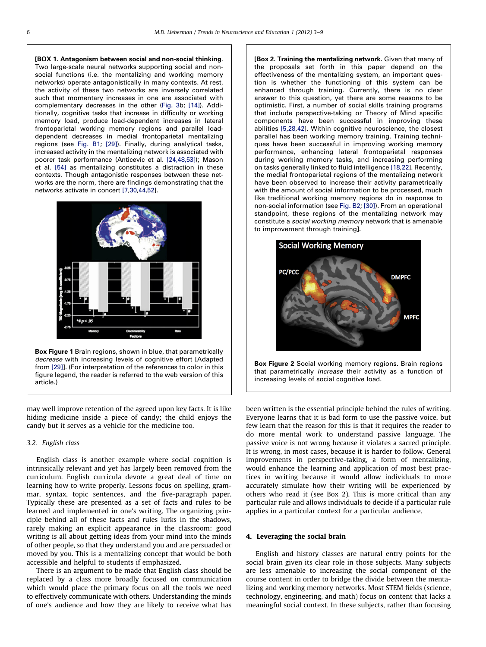**[BOX 1. Antagonism between social and non-social thinking**. Two large-scale neural networks supporting social and nonsocial functions (i.e. the mentalizing and working memory networks) operate antagonistically in many contexts. At rest, the activity of these two networks are inversely correlated such that momentary increases in one are associated with complementary decreases in the other [\(Fig. 3](#page-2-0)b; [\[14\]\)](#page-5-0). Additionally, cognitive tasks that increase in difficulty or working memory load, produce load-dependent increases in lateral frontoparietal working memory regions and parallel loaddependent decreases in medial frontoparietal mentalizing regions (see [Fig. B1;](#page-3-0) [\[29\]](#page-6-0)). Finally, during analytical tasks, increased activity in the mentalizing network is associated with poorer task performance (Anticevic et al. [\[24,48,53\]\)](#page-5-0); Mason et al. [\[54\]](#page-6-0) as mentalizing constitutes a distraction in these contexts. Though antagonistic responses between these networks are the norm, there are findings demonstrating that the networks activate in concert [\[7,](#page-5-0)[30,44](#page-6-0),[52](#page-6-0)].



**Box Figure 1** Brain regions, shown in blue, that parametrically decrease with increasing levels of cognitive effort [Adapted from [\[29\]](#page-6-0)]. (For interpretation of the references to color in this figure legend, the reader is referred to the web version of this article.)

may well improve retention of the agreed upon key facts. It is like hiding medicine inside a piece of candy; the child enjoys the candy but it serves as a vehicle for the medicine too.

#### 3.2. English class

English class is another example where social cognition is intrinsically relevant and yet has largely been removed from the curriculum. English curricula devote a great deal of time on learning how to write properly. Lessons focus on spelling, grammar, syntax, topic sentences, and the five-paragraph paper. Typically these are presented as a set of facts and rules to be learned and implemented in one's writing. The organizing principle behind all of these facts and rules lurks in the shadows, rarely making an explicit appearance in the classroom: good writing is all about getting ideas from your mind into the minds of other people, so that they understand you and are persuaded or moved by you. This is a mentalizing concept that would be both accessible and helpful to students if emphasized.

<span id="page-3-0"></span>There is an argument to be made that English class should be replaced by a class more broadly focused on communication which would place the primary focus on all the tools we need to effectively communicate with others. Understanding the minds of one's audience and how they are likely to receive what has **[Box 2. Training the mentalizing network.** Given that many of the proposals set forth in this paper depend on the effectiveness of the mentalizing system, an important question is whether the functioning of this system can be enhanced through training. Currently, there is no clear answer to this question, yet there are some reasons to be optimistic. First, a number of social skills training programs that include perspective-taking or Theory of Mind specific components have been successful in improving these abilities [\[5](#page-5-0)[,28,42](#page-6-0)]. Within cognitive neuroscience, the closest parallel has been working memory training. Training techniques have been successful in improving working memory performance, enhancing lateral frontoparietal responses during working memory tasks, and increasing performing on tasks generally linked to fluid intelligence [\[18](#page-5-0),[22](#page-5-0)]. Recently, the medial frontoparietal regions of the mentalizing network have been observed to increase their activity parametrically with the amount of social information to be processed, much like traditional working memory regions do in response to non-social information (see [Fig. B2;](#page-3-0) [\[30\]\)](#page-6-0). From an operational standpoint, these regions of the mentalizing network may constitute a social working memory network that is amenable to improvement through training**].**



**Box Figure 2** Social working memory regions. Brain regions that parametrically increase their activity as a function of increasing levels of social cognitive load.

been written is the essential principle behind the rules of writing. Everyone learns that it is bad form to use the passive voice, but few learn that the reason for this is that it requires the reader to do more mental work to understand passive language. The passive voice is not wrong because it violates a sacred principle. It is wrong, in most cases, because it is harder to follow. General improvements in perspective-taking, a form of mentalizing, would enhance the learning and application of most best practices in writing because it would allow individuals to more accurately simulate how their writing will be experienced by others who read it (see Box 2). This is more critical than any particular rule and allows individuals to decide if a particular rule applies in a particular context for a particular audience.

#### 4. Leveraging the social brain

English and history classes are natural entry points for the social brain given its clear role in those subjects. Many subjects are less amenable to increasing the social component of the course content in order to bridge the divide between the mentalizing and working memory networks. Most STEM fields (science, technology, engineering, and math) focus on content that lacks a meaningful social context. In these subjects, rather than focusing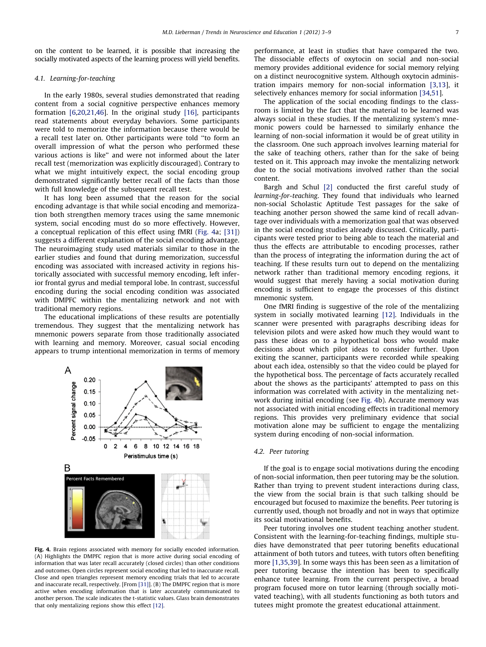on the content to be learned, it is possible that increasing the socially motivated aspects of the learning process will yield benefits.

#### 4.1. Learning-for-teaching

In the early 1980s, several studies demonstrated that reading content from a social cognitive perspective enhances memory formation [\[6,20,21,](#page-5-0)[46\]](#page-6-0). In the original study [\[16\]](#page-5-0), participants read statements about everyday behaviors. Some participants were told to memorize the information because there would be a recall test later on. Other participants were told ''to form an overall impression of what the person who performed these various actions is like'' and were not informed about the later recall test (memorization was explicitly discouraged). Contrary to what we might intuitively expect, the social encoding group demonstrated significantly better recall of the facts than those with full knowledge of the subsequent recall test.

It has long been assumed that the reason for the social encoding advantage is that while social encoding and memorization both strengthen memory traces using the same mnemonic system, social encoding must do so more effectively. However, a conceptual replication of this effect using fMRI ([Fig. 4](#page-4-0)a; [\[31\]\)](#page-6-0) suggests a different explanation of the social encoding advantage. The neuroimaging study used materials similar to those in the earlier studies and found that during memorization, successful encoding was associated with increased activity in regions historically associated with successful memory encoding, left inferior frontal gyrus and medial temporal lobe. In contrast, successful encoding during the social encoding condition was associated with DMPFC within the mentalizing network and not with traditional memory regions.

The educational implications of these results are potentially tremendous. They suggest that the mentalizing network has mnemonic powers separate from those traditionally associated with learning and memory. Moreover, casual social encoding appears to trump intentional memorization in terms of memory



<span id="page-4-0"></span>Fig. 4. Brain regions associated with memory for socially encoded information. (A) Highlights the DMPFC region that is more active during social encoding of information that was later recall accurately (closed circles) than other conditions and outcomes. Open circles represent social encoding that led to inaccurate recall. Close and open triangles represent memory encoding trials that led to accurate and inaccurate recall, respectively. [From [\[31\]](#page-6-0)]. (B) The DMPFC region that is more active when encoding information that is later accurately communicated to another person. The scale indicates the t-statistic values. Glass brain demonstrates that only mentalizing regions show this effect [\[12\]](#page-5-0).

performance, at least in studies that have compared the two. The dissociable effects of oxytocin on social and non-social memory provides additional evidence for social memory relying on a distinct neurocognitive system. Although oxytocin administration impairs memory for non-social information [\[3](#page-5-0),[13\]](#page-5-0), it selectively enhances memory for social information [\[34,51\]](#page-6-0).

The application of the social encoding findings to the classroom is limited by the fact that the material to be learned was always social in these studies. If the mentalizing system's mnemonic powers could be harnessed to similarly enhance the learning of non-social information it would be of great utility in the classroom. One such approach involves learning material for the sake of teaching others, rather than for the sake of being tested on it. This approach may invoke the mentalizing network due to the social motivations involved rather than the social content.

Bargh and Schul [\[2\]](#page-5-0) conducted the first careful study of learning-for-teaching. They found that individuals who learned non-social Scholastic Aptitude Test passages for the sake of teaching another person showed the same kind of recall advantage over individuals with a memorization goal that was observed in the social encoding studies already discussed. Critically, participants were tested prior to being able to teach the material and thus the effects are attributable to encoding processes, rather than the process of integrating the information during the act of teaching. If these results turn out to depend on the mentalizing network rather than traditional memory encoding regions, it would suggest that merely having a social motivation during encoding is sufficient to engage the processes of this distinct mnemonic system.

One fMRI finding is suggestive of the role of the mentalizing system in socially motivated learning [\[12\]](#page-5-0). Individuals in the scanner were presented with paragraphs describing ideas for television pilots and were asked how much they would want to pass these ideas on to a hypothetical boss who would make decisions about which pilot ideas to consider further. Upon exiting the scanner, participants were recorded while speaking about each idea, ostensibly so that the video could be played for the hypothetical boss. The percentage of facts accurately recalled about the shows as the participants' attempted to pass on this information was correlated with activity in the mentalizing network during initial encoding (see [Fig. 4b](#page-4-0)). Accurate memory was not associated with initial encoding effects in traditional memory regions. This provides very preliminary evidence that social motivation alone may be sufficient to engage the mentalizing system during encoding of non-social information.

#### 4.2. Peer tutoring

If the goal is to engage social motivations during the encoding of non-social information, then peer tutoring may be the solution. Rather than trying to prevent student interactions during class, the view from the social brain is that such talking should be encouraged but focused to maximize the benefits. Peer tutoring is currently used, though not broadly and not in ways that optimize its social motivational benefits.

Peer tutoring involves one student teaching another student. Consistent with the learning-for-teaching findings, multiple studies have demonstrated that peer tutoring benefits educational attainment of both tutors and tutees, with tutors often benefiting more [\[1,](#page-5-0)[35,39\]](#page-6-0). In some ways this has been seen as a limitation of peer tutoring because the intention has been to specifically enhance tutee learning. From the current perspective, a broad program focused more on tutor learning (through socially motivated teaching), with all students functioning as both tutors and tutees might promote the greatest educational attainment.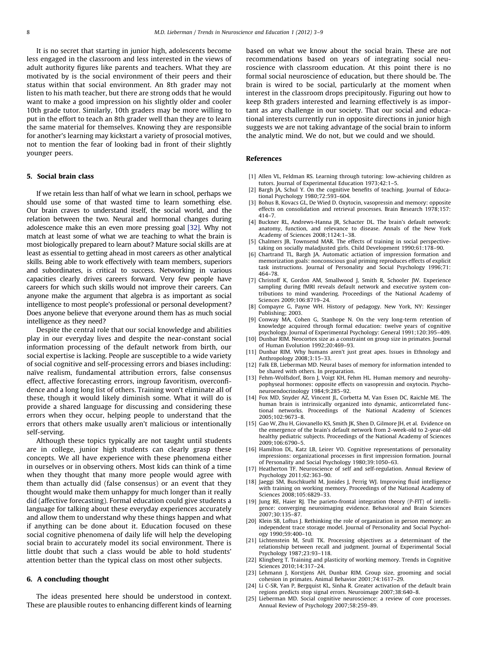It is no secret that starting in junior high, adolescents become less engaged in the classroom and less interested in the views of adult authority figures like parents and teachers. What they are motivated by is the social environment of their peers and their status within that social environment. An 8th grader may not listen to his math teacher, but there are strong odds that he would want to make a good impression on his slightly older and cooler 10th grade tutor. Similarly, 10th graders may be more willing to put in the effort to teach an 8th grader well than they are to learn the same material for themselves. Knowing they are responsible for another's learning may kickstart a variety of prosocial motives, not to mention the fear of looking bad in front of their slightly younger peers.

#### 5. Social brain class

If we retain less than half of what we learn in school, perhaps we should use some of that wasted time to learn something else. Our brain craves to understand itself, the social world, and the relation between the two. Neural and hormonal changes during adolescence make this an even more pressing goal [\[32\].](#page-6-0) Why not match at least some of what we are teaching to what the brain is most biologically prepared to learn about? Mature social skills are at least as essential to getting ahead in most careers as other analytical skills. Being able to work effectively with team members, superiors and subordinates, is critical to success. Networking in various capacities clearly drives careers forward. Very few people have careers for which such skills would not improve their careers. Can anyone make the argument that algebra is as important as social intelligence to most people's professional or personal development? Does anyone believe that everyone around them has as much social intelligence as they need?

Despite the central role that our social knowledge and abilities play in our everyday lives and despite the near-constant social information processing of the default network from birth, our social expertise is lacking. People are susceptible to a wide variety of social cognitive and self-processing errors and biases including: naïve realism, fundamental attribution errors, false consensus effect, affective forecasting errors, ingroup favoritism, overconfidence and a long long list of others. Training won't eliminate all of these, though it would likely diminish some. What it will do is provide a shared language for discussing and considering these errors when they occur, helping people to understand that the errors that others make usually aren't malicious or intentionally self-serving.

Although these topics typically are not taught until students are in college, junior high students can clearly grasp these concepts. We all have experience with these phenomena either in ourselves or in observing others. Most kids can think of a time when they thought that many more people would agree with them than actually did (false consensus) or an event that they thought would make them unhappy for much longer than it really did (affective forecasting). Formal education could give students a language for talking about these everyday experiences accurately and allow them to understand why these things happen and what if anything can be done about it. Education focused on these social cognitive phenomena of daily life will help the developing social brain to accurately model its social environment. There is little doubt that such a class would be able to hold students' attention better than the typical class on most other subjects.

#### 6. A concluding thought

<span id="page-5-0"></span>The ideas presented here should be understood in context. These are plausible routes to enhancing different kinds of learning based on what we know about the social brain. These are not recommendations based on years of integrating social neuroscience with classroom education. At this point there is no formal social neuroscience of education, but there should be. The brain is wired to be social, particularly at the moment when interest in the classroom drops precipitously. Figuring out how to keep 8th graders interested and learning effectively is as important as any challenge in our society. That our social and educational interests currently run in opposite directions in junior high suggests we are not taking advantage of the social brain to inform the analytic mind. We do not, but we could and we should.

#### References

- [1] Allen VL, Feldman RS. Learning through tutoring: low-achieving children as tutors. Journal of Experimental Education 1973;42:1–5.
- [2] Bargh JA, Schul Y. On the cognitive benefits of teaching. Journal of Educational Psychology 1980;72:593–604.
- [3] Bohus B, Kovacs GL, De Wied D. Oxytocin, vasopressin and memory: opposite effects on consolidation and retrieval processes. Brain Research 1978;157: 414–7.
- [4] Buckner RL, Andrews-Hanna JR, Schacter DL. The brain's default network: anatomy, function, and relevance to disease. Annals of the New York Academy of Sciences 2008;1124:1–38.
- [5] Chalmers JB, Townsend MAR. The effects of training in social perspectivetaking on socially maladjusted girls. Child Development 1990;61:178–90.
- [6] Chartrand TL, Bargh JA. Automatic actiation of impression formation and memorization goals: nonconscious goal priming reproduces effects of explicit task instructions. Journal of Personality and Social Psychology 1996;71: 464–78.
- [7] Christoff K, Gordon AM, Smallwood J, Smith R, Schooler JW. Experience sampling during fMRI reveals default network and executive system contributions to mind wandering. Proceedings of the National Academy of Sciences 2009;106:8719–24.
- [8] Compayre G, Payne WH. History of pedagogy. New York, NY: Kessinger Publishing; 2003.
- [9] Conway MA, Cohen G, Stanhope N. On the very long-term retention of knowledge acquired through formal education: twelve years of cognitive psychology. Journal of Experimental Psychology: General 1991;120:395–409.
- [10] Dunbar RIM. Neocortex size as a constraint on group size in primates. Journal of Human Evolution 1992;20:469–93.
- [11] Dunbar RIM. Why humans aren't just great apes. Issues in Ethnology and Anthropology 2008;3:15–33.
- [12] Falk EB, Lieberman MD. Neural bases of memory for information intended to be shared with others. In preparation.
- [13] Fehm-Wolfsdorf, Born J, Voigt KH, Fehm HL. Human memory and neurohypophyseal hormones: opposite effects on vasopressin and oxytocin. Psychoneuroendocrinology 1984;9:285–92.
- [14] Fox MD, Snyder AZ, Vincent JL, Corbetta M, Van Essen DC, Raichle ME. The human brain is intrinsically organized into dynamic, anticorrelated functional networks. Proceedings of the National Academy of Sciences 2005;102:9673–8.
- [15] Gao W, Zhu H, Giovanello KS, Smith JK, Shen D, Gilmore JH, et al. Evidence on the emergence of the brain's default network from 2-week-old to 2-year-old healthy pediatric subjects. Proceedings of the National Academy of Sciences 2009;106:6790–5.
- [16] Hamilton DL, Katz LB, Leirer VO. Cognitive representations of personality impressions: organizational processes in first impression formation. Journal of Personality and Social Psychology 1980;39:1050–63.
- [17] Heatherton TF. Neuroscience of self and self-regulation. Annual Review of Psychology 2011;62:363–90.
- [18] Jaeggi SM, Buschkuehl M, Jonides J, Perrig WJ. Improving fluid intelligence with training on working memory. Proceedings of the National Academy of Sciences 2008;105:6829–33.
- [19] Jung RE, Haier RJ. The parieto-frontal integration theory (P-FIT) of intelligence: converging neuroimaging evidence. Behavioral and Brain Sciences 2007;30:135–87.
- [20] Klein SB, Loftus J. Rethinking the role of organization in person memory: an independent trace storage model. Journal of Personality and Social Psychology 1990;59:400–10.
- [21] Lichtenstein M, Srull TK. Processing objectives as a determinant of the relationship between recall and judgment. Journal of Experimental Social Psychology 1987;23:93–118.
- [22] Klingberg T. Training and plasticity of working memory. Trends in Cognitive Sciences 2010;14:317–24.
- [23] Lehmann J, Korstjens AH, Dunbar RIM. Group size, grooming and social cohesion in primates. Animal Behavior 2001;74:1617–29.
- [24] Li C-SR, Yan P, Bergquist KL, Sinha R. Greater activation of the default brain regions predicts stop signal errors. Neuroimage 2007;38:640–8.
- [25] Lieberman MD. Social cognitive neuroscience: a review of core processes. Annual Review of Psychology 2007;58:259–89.